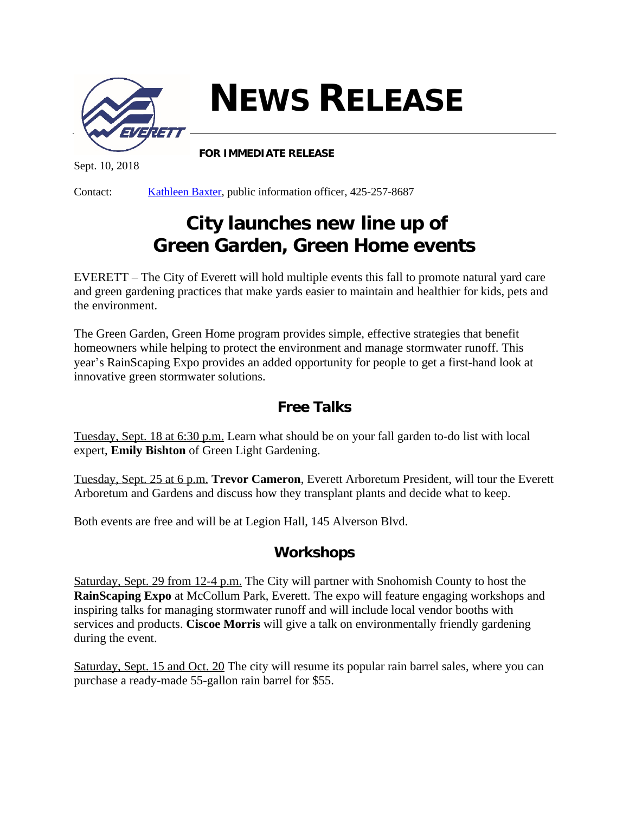

**NEWS RELEASE**

Sept. 10, 2018

Contact: [Kathleen Baxter,](mailto:kbaxter@everettwa.gov) public information officer, 425-257-8687

**FOR IMMEDIATE RELEASE**

## **City launches new line up of Green Garden, Green Home events**

EVERETT – The City of Everett will hold multiple events this fall to promote natural yard care and green gardening practices that make yards easier to maintain and healthier for kids, pets and the environment.

The Green Garden, Green Home program provides simple, effective strategies that benefit homeowners while helping to protect the environment and manage stormwater runoff. This year's RainScaping Expo provides an added opportunity for people to get a first-hand look at innovative green stormwater solutions.

## *Free Talks*

Tuesday, Sept. 18 at 6:30 p.m. Learn what should be on your fall garden to-do list with local expert, **Emily Bishton** of Green Light Gardening.

Tuesday, Sept. 25 at 6 p.m. **Trevor Cameron**, Everett Arboretum President, will tour the Everett Arboretum and Gardens and discuss how they transplant plants and decide what to keep.

Both events are free and will be at Legion Hall, 145 Alverson Blvd.

## *Workshops*

Saturday, Sept. 29 from 12-4 p.m. The City will partner with Snohomish County to host the **RainScaping Expo** at McCollum Park, Everett. The expo will feature engaging workshops and inspiring talks for managing stormwater runoff and will include local vendor booths with services and products. **Ciscoe Morris** will give a talk on environmentally friendly gardening during the event.

Saturday, Sept. 15 and Oct. 20 The city will resume its popular rain barrel sales, where you can purchase a ready-made 55-gallon rain barrel for \$55.